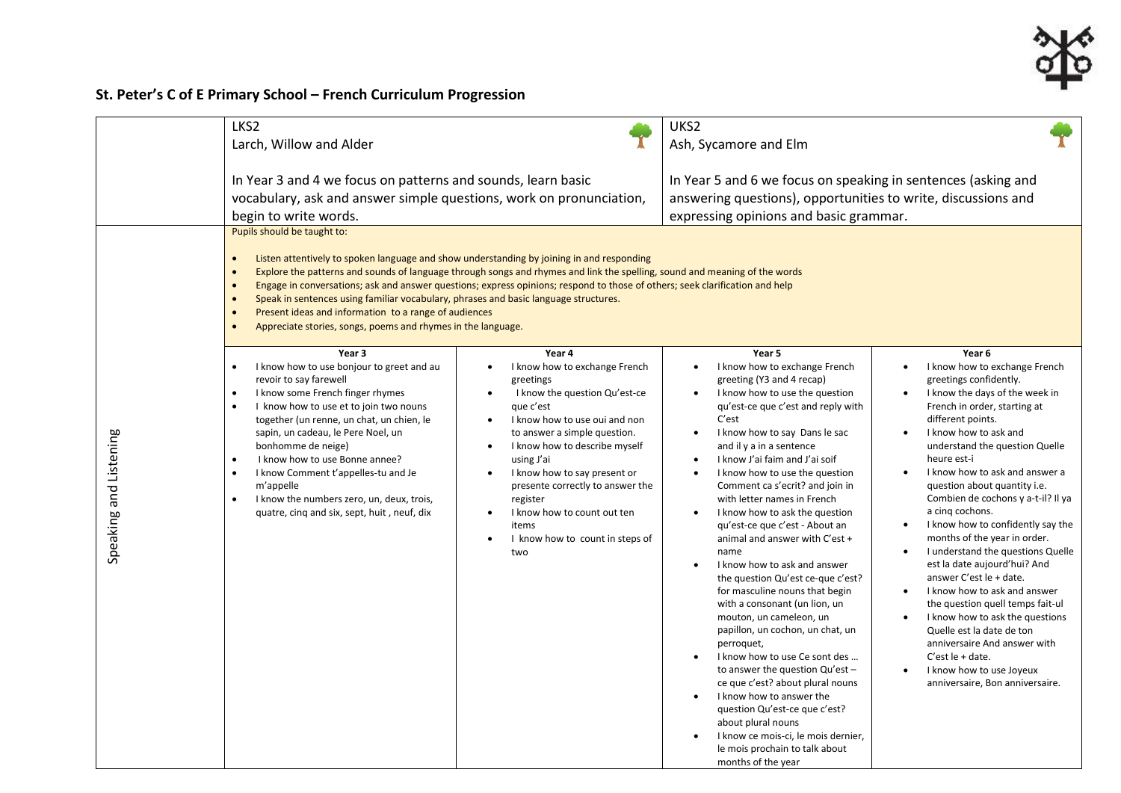## **St. Peter's C of E Primary School – French Curriculum Progression**

|                        | LKS <sub>2</sub><br>Larch, Willow and Alder                                                                                                                                                                                                                                                                                                                                                                                                                                                                                                                                                                                                                                                                                                                                                                                                                                                                                                                                                                            | UKS2<br>Ash, Sycamore and Elm                                                                                                                                                                                                                                                                                                                                                                                                                                                                                                                                                                                                                                                                                                                                                                                                                                                                                                                                                                                                                                                                                                                                                                                                                                                                                                                                                                                                                                                                                                                                                                                                                                                                                                                                                                                                            |  |  |
|------------------------|------------------------------------------------------------------------------------------------------------------------------------------------------------------------------------------------------------------------------------------------------------------------------------------------------------------------------------------------------------------------------------------------------------------------------------------------------------------------------------------------------------------------------------------------------------------------------------------------------------------------------------------------------------------------------------------------------------------------------------------------------------------------------------------------------------------------------------------------------------------------------------------------------------------------------------------------------------------------------------------------------------------------|------------------------------------------------------------------------------------------------------------------------------------------------------------------------------------------------------------------------------------------------------------------------------------------------------------------------------------------------------------------------------------------------------------------------------------------------------------------------------------------------------------------------------------------------------------------------------------------------------------------------------------------------------------------------------------------------------------------------------------------------------------------------------------------------------------------------------------------------------------------------------------------------------------------------------------------------------------------------------------------------------------------------------------------------------------------------------------------------------------------------------------------------------------------------------------------------------------------------------------------------------------------------------------------------------------------------------------------------------------------------------------------------------------------------------------------------------------------------------------------------------------------------------------------------------------------------------------------------------------------------------------------------------------------------------------------------------------------------------------------------------------------------------------------------------------------------------------------|--|--|
|                        | In Year 3 and 4 we focus on patterns and sounds, learn basic<br>In Year 5 and 6 we focus on speaking in sentences (asking and<br>vocabulary, ask and answer simple questions, work on pronunciation,<br>answering questions), opportunities to write, discussions and<br>begin to write words.<br>expressing opinions and basic grammar.<br>Pupils should be taught to:<br>Listen attentively to spoken language and show understanding by joining in and responding<br>$\bullet$<br>Explore the patterns and sounds of language through songs and rhymes and link the spelling, sound and meaning of the words<br>Engage in conversations; ask and answer questions; express opinions; respond to those of others; seek clarification and help<br>Speak in sentences using familiar vocabulary, phrases and basic language structures.<br>$\bullet$<br>Present ideas and information to a range of audiences                                                                                                          |                                                                                                                                                                                                                                                                                                                                                                                                                                                                                                                                                                                                                                                                                                                                                                                                                                                                                                                                                                                                                                                                                                                                                                                                                                                                                                                                                                                                                                                                                                                                                                                                                                                                                                                                                                                                                                          |  |  |
| Speaking and Listening | Appreciate stories, songs, poems and rhymes in the language.<br>Year 3<br>Year 4<br>I know how to use bonjour to greet and au<br>I know how to exchange French<br>$\bullet$<br>$\bullet$<br>revoir to say farewell<br>greetings<br>I know the question Qu'est-ce<br>I know some French finger rhymes<br>$\bullet$<br>$\bullet$<br>I know how to use et to join two nouns<br>que c'est<br>$\bullet$<br>together (un renne, un chat, un chien, le<br>I know how to use oui and non<br>sapin, un cadeau, le Pere Noel, un<br>to answer a simple question.<br>bonhomme de neige)<br>I know how to describe myself<br>I know how to use Bonne annee?<br>using J'ai<br>$\bullet$<br>I know Comment t'appelles-tu and Je<br>I know how to say present or<br>$\bullet$<br>m'appelle<br>presente correctly to answer the<br>I know the numbers zero, un, deux, trois,<br>register<br>$\bullet$<br>I know how to count out ten<br>quatre, cinq and six, sept, huit, neuf, dix<br>items<br>I know how to count in steps of<br>two | Year 5<br>Year 6<br>I know how to exchange French<br>I know how to exchange French<br>$\bullet$<br>greeting (Y3 and 4 recap)<br>greetings confidently.<br>I know how to use the question<br>I know the days of the week in<br>qu'est-ce que c'est and reply with<br>French in order, starting at<br>C'est<br>different points.<br>I know how to say Dans le sac<br>I know how to ask and<br>$\bullet$<br>and il y a in a sentence<br>understand the question Quelle<br>I know J'ai faim and J'ai soif<br>heure est-i<br>$\bullet$<br>I know how to ask and answer a<br>I know how to use the question<br>question about quantity i.e.<br>Comment ca s'ecrit? and join in<br>Combien de cochons y a-t-il? Il ya<br>with letter names in French<br>a cinq cochons.<br>I know how to ask the question<br>$\bullet$<br>I know how to confidently say the<br>qu'est-ce que c'est - About an<br>months of the year in order.<br>animal and answer with C'est +<br>I understand the questions Quelle<br>name<br>est la date aujourd'hui? And<br>I know how to ask and answer<br>answer C'est le + date.<br>the question Qu'est ce-que c'est?<br>for masculine nouns that begin<br>I know how to ask and answer<br>with a consonant (un lion, un<br>the question quell temps fait-ul<br>mouton, un cameleon, un<br>I know how to ask the questions<br>papillon, un cochon, un chat, un<br>Quelle est la date de ton<br>perroquet,<br>anniversaire And answer with<br>I know how to use Ce sont des<br>C'est le $+$ date.<br>to answer the question Qu'est -<br>I know how to use Joyeux<br>ce que c'est? about plural nouns<br>anniversaire, Bon anniversaire.<br>I know how to answer the<br>question Qu'est-ce que c'est?<br>about plural nouns<br>I know ce mois-ci, le mois dernier,<br>le mois prochain to talk about<br>months of the year |  |  |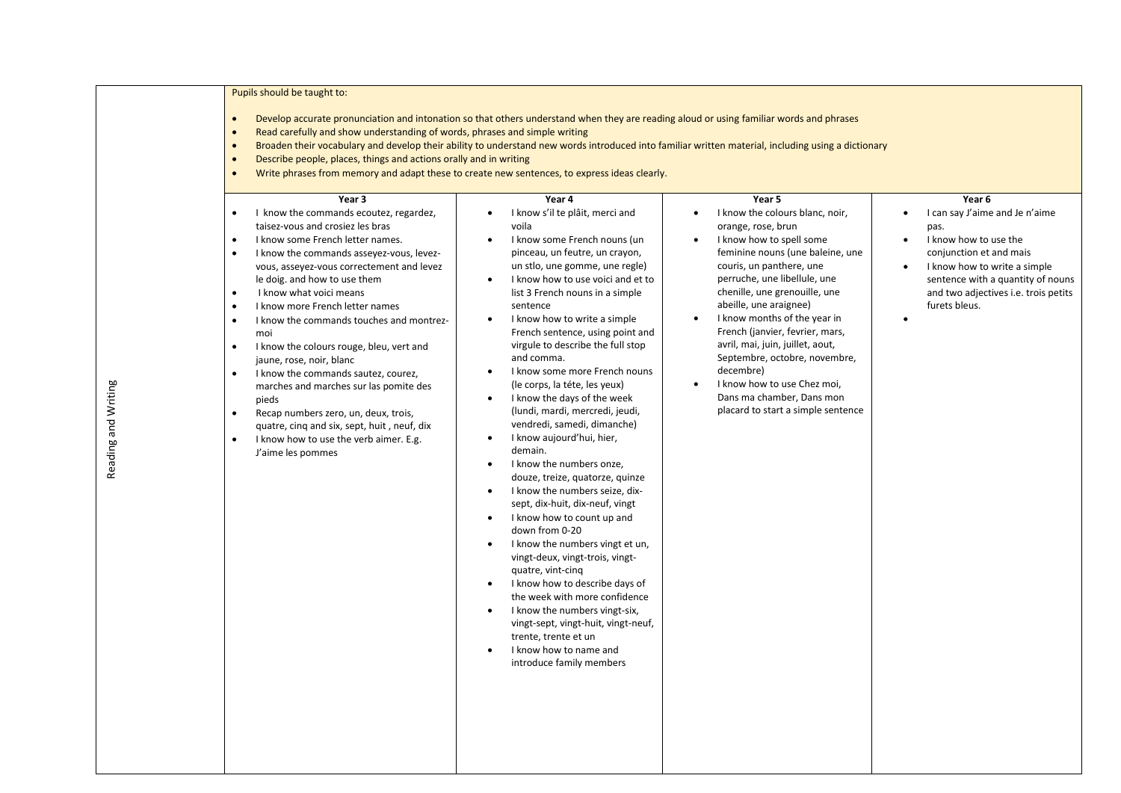|                     | Pupils should be taught to:<br>Develop accurate pronunciation and intonation so that others understand when they are reading aloud or using familiar words and phrases<br>$\bullet$<br>Read carefully and show understanding of words, phrases and simple writing<br>Broaden their vocabulary and develop their ability to understand new words introduced into familiar written material, including using a dictionary<br>$\bullet$<br>Describe people, places, things and actions orally and in writing<br>Write phrases from memory and adapt these to create new sentences, to express ideas clearly.<br>$\bullet$                                                                                                                                                                                          |                                                                                                                                                                                                                                                                                                                                                                                                                                                                                                                                                                                                                                                                                                                                                                                                                                                                                                                                                                                                                                                                                                                                                                    |                                                                                                                                                                                                                                                                                                                                                                                                                                                                                                                                                      |                                                                                                                                                                                                                                                                           |  |
|---------------------|-----------------------------------------------------------------------------------------------------------------------------------------------------------------------------------------------------------------------------------------------------------------------------------------------------------------------------------------------------------------------------------------------------------------------------------------------------------------------------------------------------------------------------------------------------------------------------------------------------------------------------------------------------------------------------------------------------------------------------------------------------------------------------------------------------------------|--------------------------------------------------------------------------------------------------------------------------------------------------------------------------------------------------------------------------------------------------------------------------------------------------------------------------------------------------------------------------------------------------------------------------------------------------------------------------------------------------------------------------------------------------------------------------------------------------------------------------------------------------------------------------------------------------------------------------------------------------------------------------------------------------------------------------------------------------------------------------------------------------------------------------------------------------------------------------------------------------------------------------------------------------------------------------------------------------------------------------------------------------------------------|------------------------------------------------------------------------------------------------------------------------------------------------------------------------------------------------------------------------------------------------------------------------------------------------------------------------------------------------------------------------------------------------------------------------------------------------------------------------------------------------------------------------------------------------------|---------------------------------------------------------------------------------------------------------------------------------------------------------------------------------------------------------------------------------------------------------------------------|--|
| Reading and Writing | Year 3<br>I know the commands ecoutez, regardez,<br>$\bullet$<br>taisez-vous and crosiez les bras<br>I know some French letter names.<br>$\bullet$<br>I know the commands asseyez-vous, levez-<br>$\bullet$<br>vous, asseyez-vous correctement and levez<br>le doig. and how to use them<br>I know what voici means<br>$\bullet$<br>I know more French letter names<br>$\bullet$<br>$\bullet$<br>I know the commands touches and montrez-<br>moi<br>I know the colours rouge, bleu, vert and<br>$\bullet$<br>jaune, rose, noir, blanc<br>I know the commands sautez, courez,<br>marches and marches sur las pomite des<br>pieds<br>Recap numbers zero, un, deux, trois,<br>$\bullet$<br>quatre, cinq and six, sept, huit, neuf, dix<br>I know how to use the verb aimer. E.g.<br>$\bullet$<br>J'aime les pommes | Year 4<br>I know s'il te plâit, merci and<br>voila<br>I know some French nouns (un<br>$\bullet$<br>pinceau, un feutre, un crayon,<br>un stlo, une gomme, une regle)<br>I know how to use voici and et to<br>list 3 French nouns in a simple<br>sentence<br>I know how to write a simple<br>French sentence, using point and<br>virgule to describe the full stop<br>and comma.<br>I know some more French nouns<br>(le corps, la téte, les yeux)<br>I know the days of the week<br>(lundi, mardi, mercredi, jeudi,<br>vendredi, samedi, dimanche)<br>I know aujourd'hui, hier,<br>demain.<br>I know the numbers onze,<br>$\bullet$<br>douze, treize, quatorze, quinze<br>I know the numbers seize, dix-<br>sept, dix-huit, dix-neuf, vingt<br>I know how to count up and<br>$\bullet$<br>down from 0-20<br>I know the numbers vingt et un,<br>$\bullet$<br>vingt-deux, vingt-trois, vingt-<br>quatre, vint-cinq<br>I know how to describe days of<br>$\bullet$<br>the week with more confidence<br>I know the numbers vingt-six,<br>$\bullet$<br>vingt-sept, vingt-huit, vingt-neuf,<br>trente, trente et un<br>I know how to name and<br>introduce family members | Year 5<br>I know the colours blanc, noir,<br>$\bullet$<br>orange, rose, brun<br>I know how to spell some<br>$\bullet$<br>feminine nouns (une baleine, une<br>couris, un panthere, une<br>perruche, une libellule, une<br>chenille, une grenouille, une<br>abeille, une araignee)<br>I know months of the year in<br>French (janvier, fevrier, mars,<br>avril, mai, juin, juillet, aout,<br>Septembre, octobre, novembre,<br>decembre)<br>I know how to use Chez moi,<br>$\bullet$<br>Dans ma chamber, Dans mon<br>placard to start a simple sentence | Year 6<br>I can say J'aime and Je n'aime<br>$\bullet$<br>pas.<br>I know how to use the<br>$\bullet$<br>conjunction et and mais<br>I know how to write a simple<br>$\bullet$<br>sentence with a quantity of nouns<br>and two adjectives i.e. trois petits<br>furets bleus. |  |